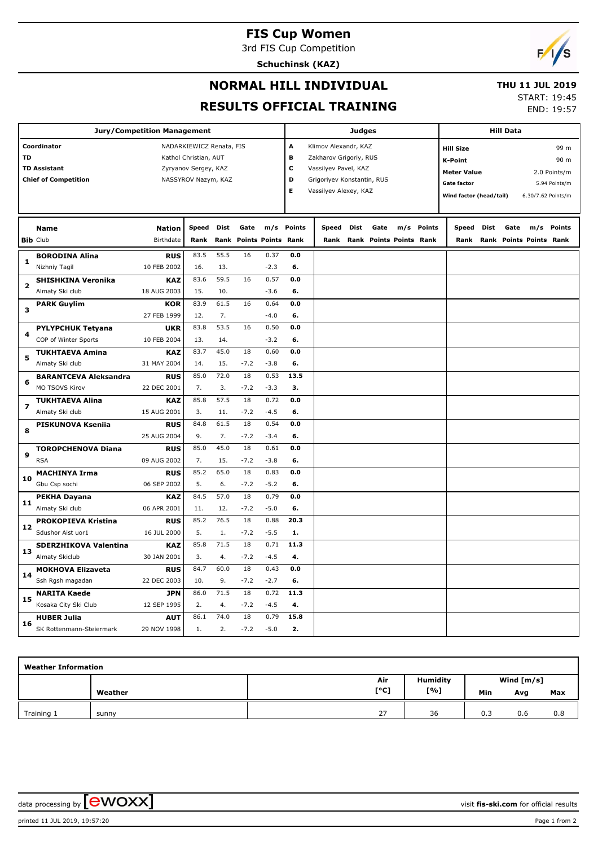# **FIS Cup Women**

3rd FIS Cup Competition

**Schuchinsk (KAZ)**



#### **NORMAL HILL INDIVIDUAL**

#### **THU 11 JUL 2019**

**RESULTS OFFICIAL TRAINING**

| IU 11 JUL 4019 |            |
|----------------|------------|
| START: 19:45   |            |
|                | END: 19:57 |

| <b>Jury/Competition Management</b> |                              |                          |              |      | <b>Judges</b>                   |                             |            |       |                                     | <b>Hill Data</b> |                                               |            |       |      |      |                         |            |
|------------------------------------|------------------------------|--------------------------|--------------|------|---------------------------------|-----------------------------|------------|-------|-------------------------------------|------------------|-----------------------------------------------|------------|-------|------|------|-------------------------|------------|
| Coordinator                        |                              | NADARKIEWICZ Renata, FIS |              |      |                                 | A<br>Klimov Alexandr, KAZ   |            |       |                                     |                  | 99 m<br><b>Hill Size</b>                      |            |       |      |      |                         |            |
| TD                                 |                              | Kathol Christian, AUT    |              |      |                                 | B<br>Zakharov Grigoriy, RUS |            |       |                                     |                  | K-Point                                       |            |       |      | 90 m |                         |            |
| <b>TD Assistant</b>                |                              | Zyryanov Sergey, KAZ     |              |      |                                 | C<br>Vassilyev Pavel, KAZ   |            |       |                                     |                  |                                               |            |       |      |      |                         |            |
| <b>Chief of Competition</b>        |                              | NASSYROV Nazym, KAZ      |              |      | D<br>Grigoriyev Konstantin, RUS |                             |            |       | <b>Meter Value</b><br>2.0 Points/m  |                  |                                               |            |       |      |      |                         |            |
|                                    |                              |                          |              |      | E<br>Vassilyev Alexey, KAZ      |                             |            |       | <b>Gate factor</b><br>5.94 Points/m |                  |                                               |            |       |      |      |                         |            |
|                                    |                              |                          |              |      |                                 |                             |            |       |                                     |                  | Wind factor (head/tail)<br>6.30/7.62 Points/m |            |       |      |      |                         |            |
|                                    |                              |                          |              |      |                                 |                             |            |       |                                     |                  |                                               |            |       |      |      |                         |            |
|                                    | Name                         | <b>Nation</b>            | <b>Speed</b> | Dist | Gate                            |                             | m/s Points | Speed | Dist                                | Gate             |                                               | m/s Points | Speed | Dist | Gate |                         | m/s Points |
|                                    | <b>Bib Club</b>              | Birthdate                | Rank         |      |                                 | Rank Points Points Rank     |            | Rank  |                                     |                  | Rank Points Points Rank                       |            | Rank  |      |      | Rank Points Points Rank |            |
|                                    | <b>BORODINA Alina</b>        | <b>RUS</b>               | 83.5         | 55.5 | 16                              | 0.37                        | 0.0        |       |                                     |                  |                                               |            |       |      |      |                         |            |
| 1                                  | Nizhniy Tagil                | 10 FEB 2002              | 16.          | 13.  |                                 | $-2.3$                      | 6.         |       |                                     |                  |                                               |            |       |      |      |                         |            |
|                                    |                              |                          | 83.6         | 59.5 | 16                              | 0.57                        | 0.0        |       |                                     |                  |                                               |            |       |      |      |                         |            |
| 2                                  | <b>SHISHKINA Veronika</b>    | <b>KAZ</b>               |              |      |                                 |                             |            |       |                                     |                  |                                               |            |       |      |      |                         |            |
|                                    | Almaty Ski club              | 18 AUG 2003              | 15.          | 10.  |                                 | $-3.6$                      | 6.         |       |                                     |                  |                                               |            |       |      |      |                         |            |
| з                                  | <b>PARK Guylim</b>           | <b>KOR</b>               | 83.9         | 61.5 | 16                              | 0.64                        | 0.0        |       |                                     |                  |                                               |            |       |      |      |                         |            |
|                                    |                              | 27 FEB 1999              | 12.          | 7.   |                                 | $-4.0$                      | 6.         |       |                                     |                  |                                               |            |       |      |      |                         |            |
| 4                                  | <b>PYLYPCHUK Tetyana</b>     | <b>UKR</b>               | 83.8         | 53.5 | 16                              | 0.50                        | 0.0        |       |                                     |                  |                                               |            |       |      |      |                         |            |
|                                    | COP of Winter Sports         | 10 FEB 2004              | 13.          | 14.  |                                 | $-3.2$                      | 6.         |       |                                     |                  |                                               |            |       |      |      |                         |            |
| 5                                  | <b>TUKHTAEVA Amina</b>       | <b>KAZ</b>               | 83.7         | 45.0 | 18                              | 0.60                        | 0.0        |       |                                     |                  |                                               |            |       |      |      |                         |            |
|                                    | Almaty Ski club              | 31 MAY 2004              | 14.          | 15.  | $-7.2$                          | $-3.8$                      | 6.         |       |                                     |                  |                                               |            |       |      |      |                         |            |
|                                    | <b>BARANTCEVA Aleksandra</b> | <b>RUS</b>               | 85.0         | 72.0 | 18                              | 0.53                        | 13.5       |       |                                     |                  |                                               |            |       |      |      |                         |            |
| 6                                  | MO TSOVS Kirov               | 22 DEC 2001              | 7.           | 3.   | $-7.2$                          | $-3.3$                      | 3.         |       |                                     |                  |                                               |            |       |      |      |                         |            |
|                                    | <b>TUKHTAEVA Alina</b>       | <b>KAZ</b>               | 85.8         | 57.5 | 18                              | 0.72                        | 0.0        |       |                                     |                  |                                               |            |       |      |      |                         |            |
| 7                                  | Almaty Ski club              | 15 AUG 2001              | 3.           | 11.  | $-7.2$                          | $-4.5$                      | 6.         |       |                                     |                  |                                               |            |       |      |      |                         |            |
|                                    | PISKUNOVA Kseniia            | <b>RUS</b>               | 84.8         | 61.5 | 18                              | 0.54                        | 0.0        |       |                                     |                  |                                               |            |       |      |      |                         |            |
| 8                                  |                              | 25 AUG 2004              | 9.           | 7.   | $-7.2$                          | $-3.4$                      | 6.         |       |                                     |                  |                                               |            |       |      |      |                         |            |
|                                    | <b>TOROPCHENOVA Diana</b>    | <b>RUS</b>               | 85.0         | 45.0 | 18                              | 0.61                        | 0.0        |       |                                     |                  |                                               |            |       |      |      |                         |            |
| 9                                  | <b>RSA</b>                   | 09 AUG 2002              | 7.           | 15.  | $-7.2$                          | $-3.8$                      | 6.         |       |                                     |                  |                                               |            |       |      |      |                         |            |
|                                    | <b>MACHINYA Irma</b>         | <b>RUS</b>               | 85.2         | 65.0 | 18                              | 0.83                        | 0.0        |       |                                     |                  |                                               |            |       |      |      |                         |            |
| 10                                 | Gbu Csp sochi                | 06 SEP 2002              | 5.           | 6.   | $-7.2$                          | $-5.2$                      | 6.         |       |                                     |                  |                                               |            |       |      |      |                         |            |
|                                    | PEKHA Dayana                 | <b>KAZ</b>               | 84.5         | 57.0 | 18                              | 0.79                        | 0.0        |       |                                     |                  |                                               |            |       |      |      |                         |            |
| 11                                 | Almaty Ski club              | 06 APR 2001              | 11.          | 12.  | $-7.2$                          | $-5.0$                      | 6.         |       |                                     |                  |                                               |            |       |      |      |                         |            |
|                                    | <b>PROKOPIEVA Kristina</b>   | <b>RUS</b>               | 85.2         | 76.5 | 18                              | 0.88                        | 20.3       |       |                                     |                  |                                               |            |       |      |      |                         |            |
| 12                                 | Sdushor Aist uor1            | 16 JUL 2000              | 5.           | 1.   | $-7.2$                          | $-5.5$                      | 1.         |       |                                     |                  |                                               |            |       |      |      |                         |            |
| 13                                 | SDERZHIKOVA Valentina        | <b>KAZ</b>               | 85.8         | 71.5 | 18                              | 0.71                        | 11.3       |       |                                     |                  |                                               |            |       |      |      |                         |            |
|                                    | Almaty Skiclub               | 30 JAN 2001              | 3.           | 4.   | $-7.2$                          | $-4.5$                      | 4.         |       |                                     |                  |                                               |            |       |      |      |                         |            |
| 14                                 | <b>MOKHOVA Elizaveta</b>     | <b>RUS</b>               | 84.7         | 60.0 | 18                              | 0.43                        | 0.0        |       |                                     |                  |                                               |            |       |      |      |                         |            |
|                                    | Ssh Rgsh magadan             | 22 DEC 2003              | 10.          | 9.   | $-7.2$                          | $-2.7$                      | 6.         |       |                                     |                  |                                               |            |       |      |      |                         |            |
| 15                                 | <b>NARITA Kaede</b>          | <b>JPN</b>               | 86.0         | 71.5 | 18                              | 0.72                        | 11.3       |       |                                     |                  |                                               |            |       |      |      |                         |            |
|                                    | Kosaka City Ski Club         | 12 SEP 1995              | 2.           | 4.   | $-7.2$                          | $-4.5$                      | 4.         |       |                                     |                  |                                               |            |       |      |      |                         |            |
|                                    | <b>HUBER Julia</b>           | <b>AUT</b>               | 86.1         | 74.0 | 18                              | 0.79                        | 15.8       |       |                                     |                  |                                               |            |       |      |      |                         |            |
| 16                                 | SK Rottenmann-Steiermark     | 29 NOV 1998              | 1.           | 2.   | $-7.2$                          | $-5.0$                      | 2.         |       |                                     |                  |                                               |            |       |      |      |                         |            |

| <b>Weather Information</b> |         |          |              |     |     |     |  |  |  |  |  |
|----------------------------|---------|----------|--------------|-----|-----|-----|--|--|--|--|--|
|                            |         | Humidity | Wind $[m/s]$ |     |     |     |  |  |  |  |  |
|                            | Weather | [°C]     | [%]          | Min | Avg | Max |  |  |  |  |  |
| Training 1                 | sunny   | 27       | 36           | 0.3 | 0.6 | 0.8 |  |  |  |  |  |

data processing by **CWOXX** and the set of the set of the visit **fis-ski.com** for official results

printed 11 JUL 2019, 19:57:20 Page 1 from 2